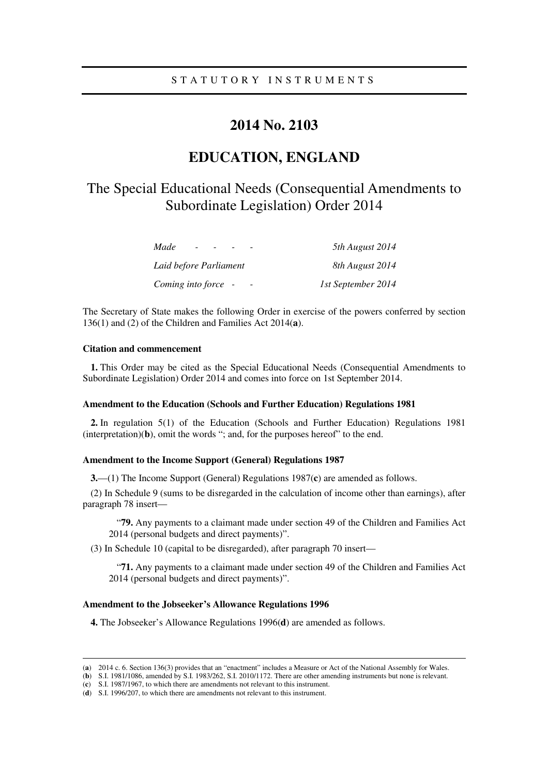# **2014 No. 2103**

# **EDUCATION, ENGLAND**

# The Special Educational Needs (Consequential Amendments to Subordinate Legislation) Order 2014

| Made<br>$\overline{\phantom{0}}$ | 5th August 2014    |
|----------------------------------|--------------------|
| Laid before Parliament           | 8th August 2014    |
| Coming into force -              | 1st September 2014 |

The Secretary of State makes the following Order in exercise of the powers conferred by section 136(1) and (2) of the Children and Families Act 2014(**a**).

# **Citation and commencement**

<u>.</u>

**1.** This Order may be cited as the Special Educational Needs (Consequential Amendments to Subordinate Legislation) Order 2014 and comes into force on 1st September 2014.

#### **Amendment to the Education (Schools and Further Education) Regulations 1981**

**2.** In regulation 5(1) of the Education (Schools and Further Education) Regulations 1981 (interpretation)(**b**), omit the words "; and, for the purposes hereof" to the end.

#### **Amendment to the Income Support (General) Regulations 1987**

**3.**—(1) The Income Support (General) Regulations 1987(**c**) are amended as follows.

(2) In Schedule 9 (sums to be disregarded in the calculation of income other than earnings), after paragraph 78 insert—

"**79.** Any payments to a claimant made under section 49 of the Children and Families Act 2014 (personal budgets and direct payments)".

(3) In Schedule 10 (capital to be disregarded), after paragraph 70 insert—

"**71.** Any payments to a claimant made under section 49 of the Children and Families Act 2014 (personal budgets and direct payments)".

#### **Amendment to the Jobseeker's Allowance Regulations 1996**

**4.** The Jobseeker's Allowance Regulations 1996(**d**) are amended as follows.

<sup>(</sup>**a**) 2014 c. 6. Section 136(3) provides that an "enactment" includes a Measure or Act of the National Assembly for Wales.

<sup>(</sup>**b**) S.I. 1981/1086, amended by S.I. 1983/262, S.I. 2010/1172. There are other amending instruments but none is relevant.

<sup>(</sup>**c**) S.I. 1987/1967, to which there are amendments not relevant to this instrument.

<sup>(</sup>**d**) S.I. 1996/207, to which there are amendments not relevant to this instrument.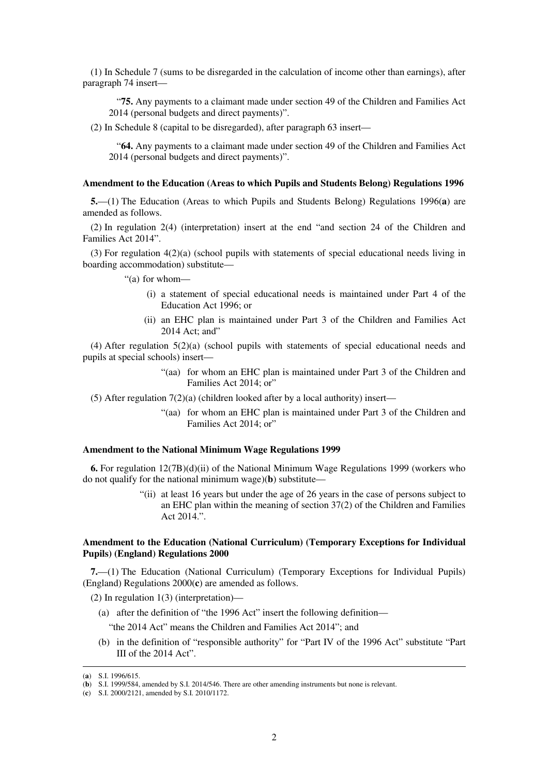(1) In Schedule 7 (sums to be disregarded in the calculation of income other than earnings), after paragraph 74 insert—

"**75.** Any payments to a claimant made under section 49 of the Children and Families Act 2014 (personal budgets and direct payments)".

(2) In Schedule 8 (capital to be disregarded), after paragraph 63 insert—

"**64.** Any payments to a claimant made under section 49 of the Children and Families Act 2014 (personal budgets and direct payments)".

#### **Amendment to the Education (Areas to which Pupils and Students Belong) Regulations 1996**

**5.**—(1) The Education (Areas to which Pupils and Students Belong) Regulations 1996(**a**) are amended as follows.

(2) In regulation 2(4) (interpretation) insert at the end "and section 24 of the Children and Families Act 2014".

(3) For regulation 4(2)(a) (school pupils with statements of special educational needs living in boarding accommodation) substitute—

"(a) for whom—

- (i) a statement of special educational needs is maintained under Part 4 of the Education Act 1996; or
- (ii) an EHC plan is maintained under Part 3 of the Children and Families Act 2014 Act: and"

(4) After regulation 5(2)(a) (school pupils with statements of special educational needs and pupils at special schools) insert—

> "(aa) for whom an EHC plan is maintained under Part 3 of the Children and Families Act 2014; or"

(5) After regulation  $7(2)(a)$  (children looked after by a local authority) insert—

"(aa) for whom an EHC plan is maintained under Part 3 of the Children and Families Act 2014; or"

#### **Amendment to the National Minimum Wage Regulations 1999**

**6.** For regulation 12(7B)(d)(ii) of the National Minimum Wage Regulations 1999 (workers who do not qualify for the national minimum wage)(**b**) substitute—

> "(ii) at least 16 years but under the age of 26 years in the case of persons subject to an EHC plan within the meaning of section 37(2) of the Children and Families Act 2014.".

# **Amendment to the Education (National Curriculum) (Temporary Exceptions for Individual Pupils) (England) Regulations 2000**

**7.**—(1) The Education (National Curriculum) (Temporary Exceptions for Individual Pupils) (England) Regulations 2000(**c**) are amended as follows.

(2) In regulation 1(3) (interpretation)—

- (a) after the definition of "the 1996 Act" insert the following definition—
	- "the 2014 Act" means the Children and Families Act 2014"; and
- (b) in the definition of "responsible authority" for "Part IV of the 1996 Act" substitute "Part III of the 2014 Act".

<sup>(</sup>**a**) S.I. 1996/615.

<sup>(</sup>**b**) S.I. 1999/584, amended by S.I. 2014/546. There are other amending instruments but none is relevant.

<sup>(</sup>**c**) S.I. 2000/2121, amended by S.I. 2010/1172.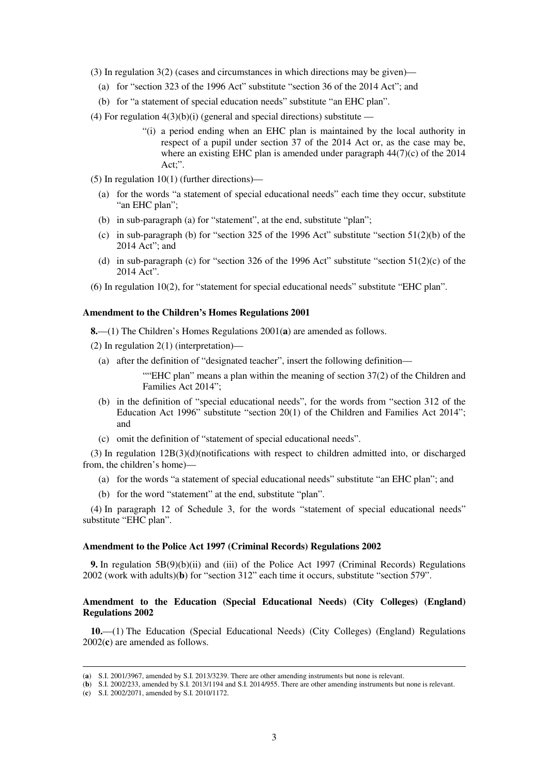- (3) In regulation 3(2) (cases and circumstances in which directions may be given)—
	- (a) for "section 323 of the 1996 Act" substitute "section 36 of the 2014 Act"; and
	- (b) for "a statement of special education needs" substitute "an EHC plan".
- (4) For regulation  $4(3)(b)(i)$  (general and special directions) substitute
	- "(i) a period ending when an EHC plan is maintained by the local authority in respect of a pupil under section 37 of the 2014 Act or, as the case may be, where an existing EHC plan is amended under paragraph 44(7)(c) of the 2014 Act;".
- (5) In regulation 10(1) (further directions)—
	- (a) for the words "a statement of special educational needs" each time they occur, substitute "an EHC plan";
	- (b) in sub-paragraph (a) for "statement", at the end, substitute "plan";
	- (c) in sub-paragraph (b) for "section 325 of the 1996 Act" substitute "section  $51(2)(b)$  of the 2014 Act"; and
	- (d) in sub-paragraph (c) for "section 326 of the 1996 Act" substitute "section  $51(2)(c)$  of the 2014 Act".
- (6) In regulation 10(2), for "statement for special educational needs" substitute "EHC plan".

#### **Amendment to the Children's Homes Regulations 2001**

**8.**—(1) The Children's Homes Regulations 2001(**a**) are amended as follows.

- (2) In regulation 2(1) (interpretation)—
	- (a) after the definition of "designated teacher", insert the following definition—

""EHC plan" means a plan within the meaning of section  $37(2)$  of the Children and Families Act 2014";

- (b) in the definition of "special educational needs", for the words from "section 312 of the Education Act 1996" substitute "section 20(1) of the Children and Families Act 2014"; and
- (c) omit the definition of "statement of special educational needs".

(3) In regulation 12B(3)(d)(notifications with respect to children admitted into, or discharged from, the children's home)—

- (a) for the words "a statement of special educational needs" substitute "an EHC plan"; and
- (b) for the word "statement" at the end, substitute "plan".

(4) In paragraph 12 of Schedule 3, for the words "statement of special educational needs" substitute "EHC plan".

#### **Amendment to the Police Act 1997 (Criminal Records) Regulations 2002**

**9.** In regulation 5B(9)(b)(ii) and (iii) of the Police Act 1997 (Criminal Records) Regulations 2002 (work with adults)(**b**) for "section 312" each time it occurs, substitute "section 579".

# **Amendment to the Education (Special Educational Needs) (City Colleges) (England) Regulations 2002**

**10.**—(1) The Education (Special Educational Needs) (City Colleges) (England) Regulations 2002(**c**) are amended as follows.

<sup>(</sup>**a**) S.I. 2001/3967, amended by S.I. 2013/3239. There are other amending instruments but none is relevant.

<sup>(</sup>**b**) S.I. 2002/233, amended by S.I. 2013/1194 and S.I. 2014/955. There are other amending instruments but none is relevant.

<sup>(</sup>**c**) S.I. 2002/2071, amended by S.I. 2010/1172.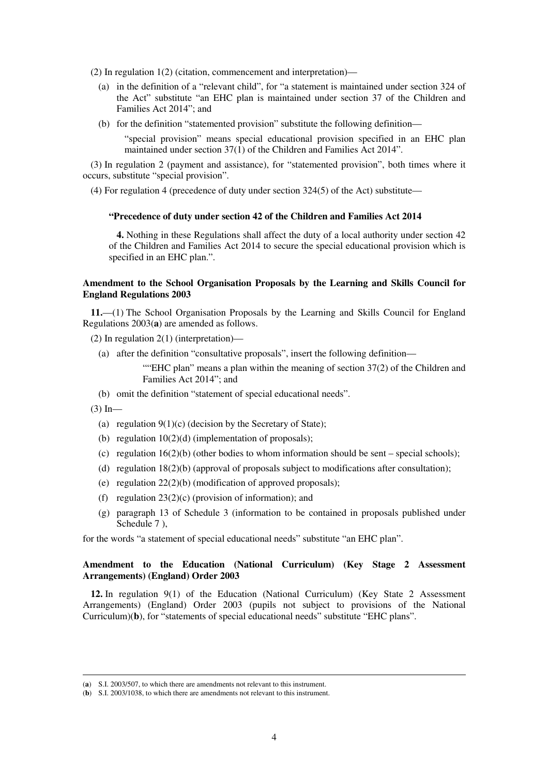(2) In regulation 1(2) (citation, commencement and interpretation)—

- (a) in the definition of a "relevant child", for "a statement is maintained under section 324 of the Act" substitute "an EHC plan is maintained under section 37 of the Children and Families Act 2014"; and
- (b) for the definition "statemented provision" substitute the following definition—

"special provision" means special educational provision specified in an EHC plan maintained under section 37(1) of the Children and Families Act 2014".

(3) In regulation 2 (payment and assistance), for "statemented provision", both times where it occurs, substitute "special provision".

(4) For regulation 4 (precedence of duty under section 324(5) of the Act) substitute—

# **"Precedence of duty under section 42 of the Children and Families Act 2014**

**4.** Nothing in these Regulations shall affect the duty of a local authority under section 42 of the Children and Families Act 2014 to secure the special educational provision which is specified in an EHC plan.".

# **Amendment to the School Organisation Proposals by the Learning and Skills Council for England Regulations 2003**

**11.**—(1) The School Organisation Proposals by the Learning and Skills Council for England Regulations 2003(**a**) are amended as follows.

(2) In regulation 2(1) (interpretation)—

(a) after the definition "consultative proposals", insert the following definition—

""EHC plan" means a plan within the meaning of section 37(2) of the Children and Families Act 2014"; and

(b) omit the definition "statement of special educational needs".

 $(3)$  In—

<u>.</u>

- (a) regulation  $9(1)(c)$  (decision by the Secretary of State);
- (b) regulation  $10(2)(d)$  (implementation of proposals);
- (c) regulation  $16(2)(b)$  (other bodies to whom information should be sent special schools);
- (d) regulation 18(2)(b) (approval of proposals subject to modifications after consultation);
- (e) regulation 22(2)(b) (modification of approved proposals);
- (f) regulation  $23(2)(c)$  (provision of information); and
- (g) paragraph 13 of Schedule 3 (information to be contained in proposals published under Schedule 7),

for the words "a statement of special educational needs" substitute "an EHC plan".

# **Amendment to the Education (National Curriculum) (Key Stage 2 Assessment Arrangements) (England) Order 2003**

**12.** In regulation 9(1) of the Education (National Curriculum) (Key State 2 Assessment Arrangements) (England) Order 2003 (pupils not subject to provisions of the National Curriculum)(**b**), for "statements of special educational needs" substitute "EHC plans".

<sup>(</sup>**a**) S.I. 2003/507, to which there are amendments not relevant to this instrument.

<sup>(</sup>**b**) S.I. 2003/1038, to which there are amendments not relevant to this instrument.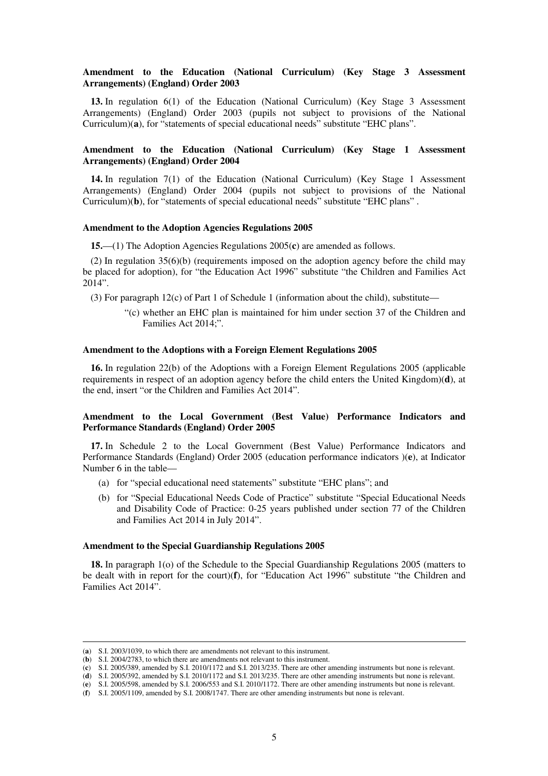# **Amendment to the Education (National Curriculum) (Key Stage 3 Assessment Arrangements) (England) Order 2003**

**13.** In regulation 6(1) of the Education (National Curriculum) (Key Stage 3 Assessment Arrangements) (England) Order 2003 (pupils not subject to provisions of the National Curriculum)(**a**), for "statements of special educational needs" substitute "EHC plans".

# **Amendment to the Education (National Curriculum) (Key Stage 1 Assessment Arrangements) (England) Order 2004**

**14.** In regulation 7(1) of the Education (National Curriculum) (Key Stage 1 Assessment Arrangements) (England) Order 2004 (pupils not subject to provisions of the National Curriculum)(**b**), for "statements of special educational needs" substitute "EHC plans" .

#### **Amendment to the Adoption Agencies Regulations 2005**

**15.**—(1) The Adoption Agencies Regulations 2005(**c**) are amended as follows.

(2) In regulation 35(6)(b) (requirements imposed on the adoption agency before the child may be placed for adoption), for "the Education Act 1996" substitute "the Children and Families Act 2014".

(3) For paragraph 12(c) of Part 1 of Schedule 1 (information about the child), substitute—

"(c) whether an EHC plan is maintained for him under section 37 of the Children and Families Act 2014;".

## **Amendment to the Adoptions with a Foreign Element Regulations 2005**

**16.** In regulation 22(b) of the Adoptions with a Foreign Element Regulations 2005 (applicable requirements in respect of an adoption agency before the child enters the United Kingdom)(**d**), at the end, insert "or the Children and Families Act 2014".

#### **Amendment to the Local Government (Best Value) Performance Indicators and Performance Standards (England) Order 2005**

**17.** In Schedule 2 to the Local Government (Best Value) Performance Indicators and Performance Standards (England) Order 2005 (education performance indicators )(**e**), at Indicator Number 6 in the table—

- (a) for "special educational need statements" substitute "EHC plans"; and
- (b) for "Special Educational Needs Code of Practice" substitute "Special Educational Needs and Disability Code of Practice: 0-25 years published under section 77 of the Children and Families Act 2014 in July 2014".

#### **Amendment to the Special Guardianship Regulations 2005**

**18.** In paragraph 1(o) of the Schedule to the Special Guardianship Regulations 2005 (matters to be dealt with in report for the court)(**f**), for "Education Act 1996" substitute "the Children and Families Act 2014".

<sup>(</sup>**a**) S.I. 2003/1039, to which there are amendments not relevant to this instrument.

<sup>(</sup>**b**) S.I. 2004/2783, to which there are amendments not relevant to this instrument.

<sup>(</sup>**c**) S.I. 2005/389, amended by S.I. 2010/1172 and S.I. 2013/235. There are other amending instruments but none is relevant.

<sup>(</sup>**d**) S.I. 2005/392, amended by S.I. 2010/1172 and S.I. 2013/235. There are other amending instruments but none is relevant.

<sup>(</sup>**e**) S.I. 2005/598, amended by S.I. 2006/553 and S.I. 2010/1172. There are other amending instruments but none is relevant.

<sup>(</sup>**f**) S.I. 2005/1109, amended by S.I. 2008/1747. There are other amending instruments but none is relevant.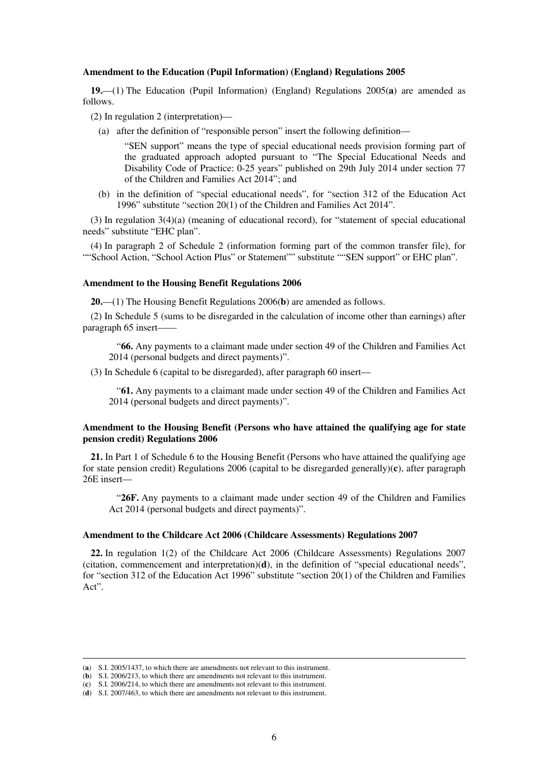#### **Amendment to the Education (Pupil Information) (England) Regulations 2005**

**19.**—(1) The Education (Pupil Information) (England) Regulations 2005(**a**) are amended as follows.

(2) In regulation 2 (interpretation)—

(a) after the definition of "responsible person" insert the following definition—

"SEN support" means the type of special educational needs provision forming part of the graduated approach adopted pursuant to "The Special Educational Needs and Disability Code of Practice: 0-25 years" published on 29th July 2014 under section 77 of the Children and Families Act 2014"; and

(b) in the definition of "special educational needs", for "section 312 of the Education Act 1996" substitute "section 20(1) of the Children and Families Act 2014".

(3) In regulation 3(4)(a) (meaning of educational record), for "statement of special educational needs" substitute "EHC plan".

(4) In paragraph 2 of Schedule 2 (information forming part of the common transfer file), for ""School Action, "School Action Plus" or Statement"" substitute ""SEN support" or EHC plan".

#### **Amendment to the Housing Benefit Regulations 2006**

**20.**—(1) The Housing Benefit Regulations 2006(**b**) are amended as follows.

(2) In Schedule 5 (sums to be disregarded in the calculation of income other than earnings) after paragraph 65 insert-

"**66.** Any payments to a claimant made under section 49 of the Children and Families Act 2014 (personal budgets and direct payments)".

(3) In Schedule 6 (capital to be disregarded), after paragraph 60 insert—

"**61.** Any payments to a claimant made under section 49 of the Children and Families Act 2014 (personal budgets and direct payments)".

# **Amendment to the Housing Benefit (Persons who have attained the qualifying age for state pension credit) Regulations 2006**

**21.** In Part 1 of Schedule 6 to the Housing Benefit (Persons who have attained the qualifying age for state pension credit) Regulations 2006 (capital to be disregarded generally)(**c**), after paragraph 26E insert—

"**26F.** Any payments to a claimant made under section 49 of the Children and Families Act 2014 (personal budgets and direct payments)".

#### **Amendment to the Childcare Act 2006 (Childcare Assessments) Regulations 2007**

**22.** In regulation 1(2) of the Childcare Act 2006 (Childcare Assessments) Regulations 2007 (citation, commencement and interpretation)(**d**), in the definition of "special educational needs", for "section 312 of the Education Act 1996" substitute "section 20(1) of the Children and Families Act".

<sup>(</sup>**a**) S.I. 2005/1437, to which there are amendments not relevant to this instrument.

<sup>(</sup>**b**) S.I. 2006/213, to which there are amendments not relevant to this instrument.

<sup>(</sup>**c**) S.I. 2006/214, to which there are amendments not relevant to this instrument.

<sup>(</sup>**d**) S.I. 2007/463, to which there are amendments not relevant to this instrument.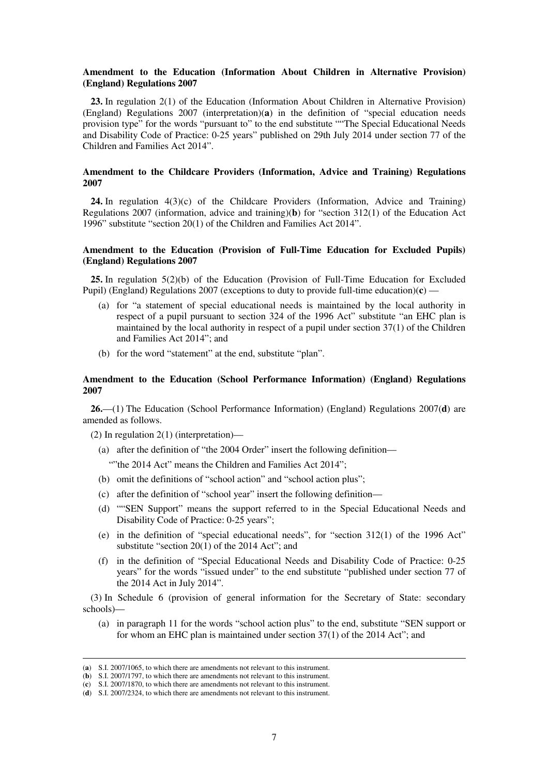#### **Amendment to the Education (Information About Children in Alternative Provision) (England) Regulations 2007**

**23.** In regulation 2(1) of the Education (Information About Children in Alternative Provision) (England) Regulations 2007 (interpretation)(**a**) in the definition of "special education needs provision type" for the words "pursuant to" to the end substitute ""The Special Educational Needs and Disability Code of Practice: 0-25 years" published on 29th July 2014 under section 77 of the Children and Families Act 2014".

# **Amendment to the Childcare Providers (Information, Advice and Training) Regulations 2007**

**24.** In regulation 4(3)(c) of the Childcare Providers (Information, Advice and Training) Regulations 2007 (information, advice and training)(**b**) for "section 312(1) of the Education Act 1996" substitute "section 20(1) of the Children and Families Act 2014".

# **Amendment to the Education (Provision of Full-Time Education for Excluded Pupils) (England) Regulations 2007**

**25.** In regulation 5(2)(b) of the Education (Provision of Full-Time Education for Excluded Pupil) (England) Regulations 2007 (exceptions to duty to provide full-time education)(**c**) —

- (a) for "a statement of special educational needs is maintained by the local authority in respect of a pupil pursuant to section 324 of the 1996 Act" substitute "an EHC plan is maintained by the local authority in respect of a pupil under section 37(1) of the Children and Families Act 2014"; and
- (b) for the word "statement" at the end, substitute "plan".

## **Amendment to the Education (School Performance Information) (England) Regulations 2007**

**26.**—(1) The Education (School Performance Information) (England) Regulations 2007(**d**) are amended as follows.

- (2) In regulation 2(1) (interpretation)—
	- (a) after the definition of "the 2004 Order" insert the following definition—

""the 2014 Act" means the Children and Families Act 2014";

- (b) omit the definitions of "school action" and "school action plus";
- (c) after the definition of "school year" insert the following definition—
- (d) ""SEN Support" means the support referred to in the Special Educational Needs and Disability Code of Practice: 0-25 years";
- (e) in the definition of "special educational needs", for "section 312(1) of the 1996 Act" substitute "section 20(1) of the 2014 Act"; and
- (f) in the definition of "Special Educational Needs and Disability Code of Practice: 0-25 years" for the words "issued under" to the end substitute "published under section 77 of the 2014 Act in July 2014".

(3) In Schedule 6 (provision of general information for the Secretary of State: secondary schools)—

(a) in paragraph 11 for the words "school action plus" to the end, substitute "SEN support or for whom an EHC plan is maintained under section 37(1) of the 2014 Act"; and

<sup>(</sup>**a**) S.I. 2007/1065, to which there are amendments not relevant to this instrument.

<sup>(</sup>**b**) S.I. 2007/1797, to which there are amendments not relevant to this instrument.

<sup>(</sup>**c**) S.I. 2007/1870, to which there are amendments not relevant to this instrument.

<sup>(</sup>**d**) S.I. 2007/2324, to which there are amendments not relevant to this instrument.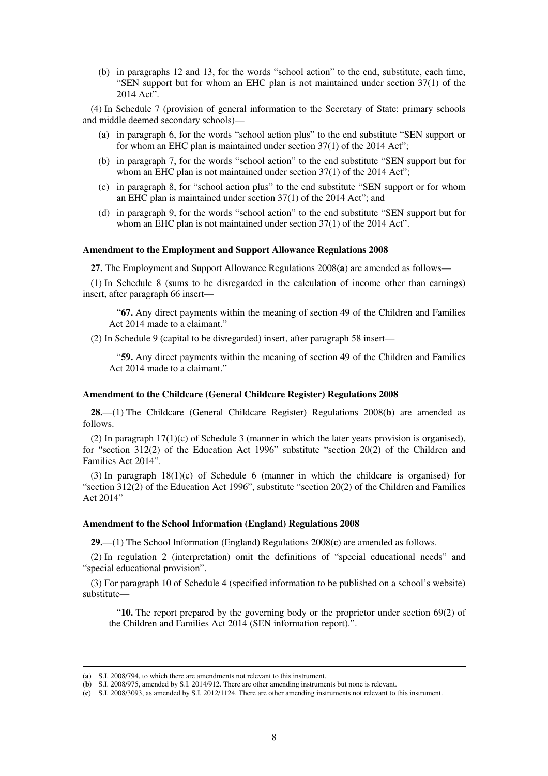(b) in paragraphs 12 and 13, for the words "school action" to the end, substitute, each time, "SEN support but for whom an EHC plan is not maintained under section 37(1) of the 2014 Act".

(4) In Schedule 7 (provision of general information to the Secretary of State: primary schools and middle deemed secondary schools)—

- (a) in paragraph 6, for the words "school action plus" to the end substitute "SEN support or for whom an EHC plan is maintained under section 37(1) of the 2014 Act";
- (b) in paragraph 7, for the words "school action" to the end substitute "SEN support but for whom an EHC plan is not maintained under section 37(1) of the 2014 Act";
- (c) in paragraph 8, for "school action plus" to the end substitute "SEN support or for whom an EHC plan is maintained under section 37(1) of the 2014 Act"; and
- (d) in paragraph 9, for the words "school action" to the end substitute "SEN support but for whom an EHC plan is not maintained under section 37(1) of the 2014 Act".

#### **Amendment to the Employment and Support Allowance Regulations 2008**

**27.** The Employment and Support Allowance Regulations 2008(**a**) are amended as follows—

(1) In Schedule 8 (sums to be disregarded in the calculation of income other than earnings) insert, after paragraph 66 insert—

"**67.** Any direct payments within the meaning of section 49 of the Children and Families Act 2014 made to a claimant."

(2) In Schedule 9 (capital to be disregarded) insert, after paragraph 58 insert—

"**59.** Any direct payments within the meaning of section 49 of the Children and Families Act 2014 made to a claimant."

#### **Amendment to the Childcare (General Childcare Register) Regulations 2008**

**28.**—(1) The Childcare (General Childcare Register) Regulations 2008(**b**) are amended as follows.

(2) In paragraph  $17(1)(c)$  of Schedule 3 (manner in which the later years provision is organised), for "section 312(2) of the Education Act 1996" substitute "section 20(2) of the Children and Families Act 2014".

(3) In paragraph 18(1)(c) of Schedule 6 (manner in which the childcare is organised) for "section 312(2) of the Education Act 1996", substitute "section 20(2) of the Children and Families Act 2014"

#### **Amendment to the School Information (England) Regulations 2008**

**29.**—(1) The School Information (England) Regulations 2008(**c**) are amended as follows.

(2) In regulation 2 (interpretation) omit the definitions of "special educational needs" and "special educational provision".

(3) For paragraph 10 of Schedule 4 (specified information to be published on a school's website) substitute—

"**10.** The report prepared by the governing body or the proprietor under section 69(2) of the Children and Families Act 2014 (SEN information report).".

<sup>(</sup>**a**) S.I. 2008/794, to which there are amendments not relevant to this instrument.

<sup>(</sup>**b**) S.I. 2008/975, amended by S.I. 2014/912. There are other amending instruments but none is relevant.

<sup>(</sup>**c**) S.I. 2008/3093, as amended by S.I. 2012/1124. There are other amending instruments not relevant to this instrument.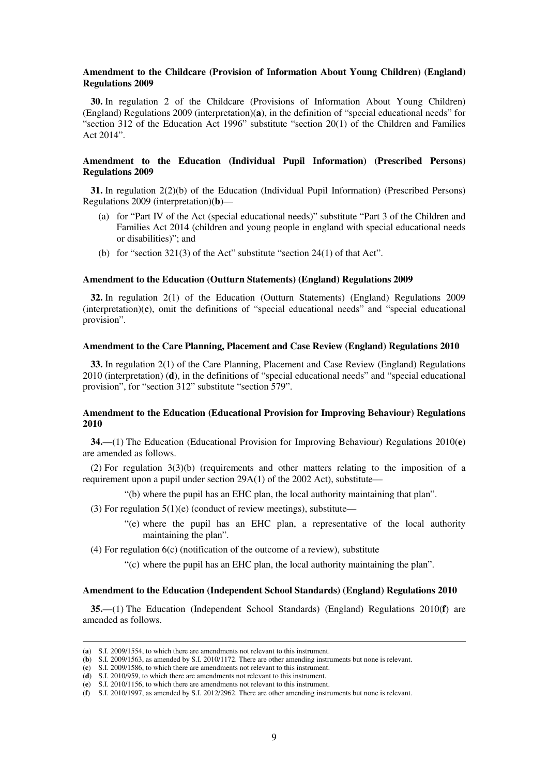#### **Amendment to the Childcare (Provision of Information About Young Children) (England) Regulations 2009**

**30.** In regulation 2 of the Childcare (Provisions of Information About Young Children) (England) Regulations 2009 (interpretation)(**a**), in the definition of "special educational needs" for "section 312 of the Education Act 1996" substitute "section 20(1) of the Children and Families Act 2014".

## **Amendment to the Education (Individual Pupil Information) (Prescribed Persons) Regulations 2009**

**31.** In regulation 2(2)(b) of the Education (Individual Pupil Information) (Prescribed Persons) Regulations 2009 (interpretation)(**b**)—

- (a) for "Part IV of the Act (special educational needs)" substitute "Part 3 of the Children and Families Act 2014 (children and young people in england with special educational needs or disabilities)"; and
- (b) for "section 321(3) of the Act" substitute "section 24(1) of that Act".

#### **Amendment to the Education (Outturn Statements) (England) Regulations 2009**

**32.** In regulation 2(1) of the Education (Outturn Statements) (England) Regulations 2009 (interpretation)(**c**), omit the definitions of "special educational needs" and "special educational provision".

# **Amendment to the Care Planning, Placement and Case Review (England) Regulations 2010**

**33.** In regulation 2(1) of the Care Planning, Placement and Case Review (England) Regulations 2010 (interpretation) (**d**), in the definitions of "special educational needs" and "special educational provision", for "section 312" substitute "section 579".

# **Amendment to the Education (Educational Provision for Improving Behaviour) Regulations 2010**

**34.**—(1) The Education (Educational Provision for Improving Behaviour) Regulations 2010(**e**) are amended as follows.

(2) For regulation 3(3)(b) (requirements and other matters relating to the imposition of a requirement upon a pupil under section 29A(1) of the 2002 Act), substitute—

- "(b) where the pupil has an EHC plan, the local authority maintaining that plan".
- (3) For regulation  $5(1)(e)$  (conduct of review meetings), substitute—
	- "(e) where the pupil has an EHC plan, a representative of the local authority maintaining the plan".

(4) For regulation 6(c) (notification of the outcome of a review), substitute

"(c) where the pupil has an EHC plan, the local authority maintaining the plan".

# **Amendment to the Education (Independent School Standards) (England) Regulations 2010**

**35.**—(1) The Education (Independent School Standards) (England) Regulations 2010(**f**) are amended as follows.

<sup>(</sup>**a**) S.I. 2009/1554, to which there are amendments not relevant to this instrument.

<sup>(</sup>**b**) S.I. 2009/1563, as amended by S.I. 2010/1172. There are other amending instruments but none is relevant.

<sup>(</sup>**c**) S.I. 2009/1586, to which there are amendments not relevant to this instrument.

<sup>(</sup>**d**) S.I. 2010/959, to which there are amendments not relevant to this instrument.

<sup>(</sup>**e**) S.I. 2010/1156, to which there are amendments not relevant to this instrument.

<sup>(</sup>**f**) S.I. 2010/1997, as amended by S.I. 2012/2962. There are other amending instruments but none is relevant.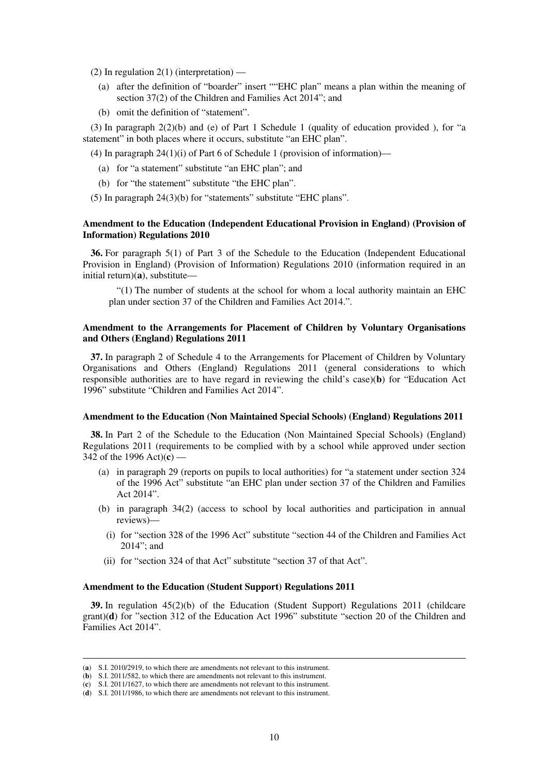(2) In regulation  $2(1)$  (interpretation) —

- (a) after the definition of "boarder" insert ""EHC plan" means a plan within the meaning of section 37(2) of the Children and Families Act 2014"; and
- (b) omit the definition of "statement".

(3) In paragraph  $2(2)(b)$  and (e) of Part 1 Schedule 1 (quality of education provided), for "a statement" in both places where it occurs, substitute "an EHC plan".

(4) In paragraph  $24(1)(i)$  of Part 6 of Schedule 1 (provision of information)—

- (a) for "a statement" substitute "an EHC plan"; and
- (b) for "the statement" substitute "the EHC plan".
- (5) In paragraph 24(3)(b) for "statements" substitute "EHC plans".

## **Amendment to the Education (Independent Educational Provision in England) (Provision of Information) Regulations 2010**

**36.** For paragraph 5(1) of Part 3 of the Schedule to the Education (Independent Educational Provision in England) (Provision of Information) Regulations 2010 (information required in an initial return)(**a**), substitute—

"(1) The number of students at the school for whom a local authority maintain an EHC plan under section 37 of the Children and Families Act 2014.".

# **Amendment to the Arrangements for Placement of Children by Voluntary Organisations and Others (England) Regulations 2011**

**37.** In paragraph 2 of Schedule 4 to the Arrangements for Placement of Children by Voluntary Organisations and Others (England) Regulations 2011 (general considerations to which responsible authorities are to have regard in reviewing the child's case)(**b**) for "Education Act 1996" substitute "Children and Families Act 2014".

#### **Amendment to the Education (Non Maintained Special Schools) (England) Regulations 2011**

**38.** In Part 2 of the Schedule to the Education (Non Maintained Special Schools) (England) Regulations 2011 (requirements to be complied with by a school while approved under section 342 of the 1996 Act)(**c**) —

- (a) in paragraph 29 (reports on pupils to local authorities) for "a statement under section 324 of the 1996 Act" substitute "an EHC plan under section 37 of the Children and Families Act 2014".
- (b) in paragraph 34(2) (access to school by local authorities and participation in annual reviews)—
	- (i) for "section 328 of the 1996 Act" substitute "section 44 of the Children and Families Act 2014"; and
- (ii) for "section 324 of that Act" substitute "section 37 of that Act".

#### **Amendment to the Education (Student Support) Regulations 2011**

**39.** In regulation 45(2)(b) of the Education (Student Support) Regulations 2011 (childcare grant)(**d**) for "section 312 of the Education Act 1996" substitute "section 20 of the Children and Families Act 2014".

<sup>(</sup>**a**) S.I. 2010/2919, to which there are amendments not relevant to this instrument.

<sup>(</sup>**b**) S.I. 2011/582, to which there are amendments not relevant to this instrument.

<sup>(</sup>**c**) S.I. 2011/1627, to which there are amendments not relevant to this instrument.

<sup>(</sup>**d**) S.I. 2011/1986, to which there are amendments not relevant to this instrument.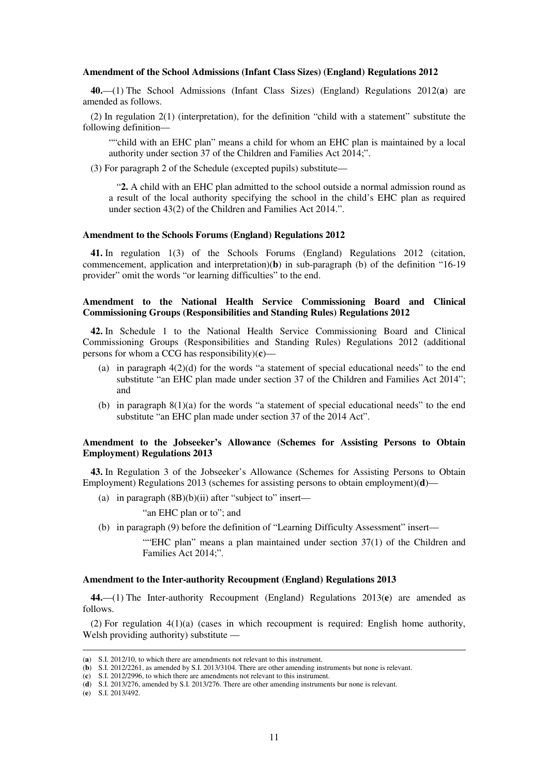#### **Amendment of the School Admissions (Infant Class Sizes) (England) Regulations 2012**

**40.**—(1) The School Admissions (Infant Class Sizes) (England) Regulations 2012(**a**) are amended as follows.

(2) In regulation 2(1) (interpretation), for the definition "child with a statement" substitute the following definition—

""child with an EHC plan" means a child for whom an EHC plan is maintained by a local authority under section 37 of the Children and Families Act 2014;".

(3) For paragraph 2 of the Schedule (excepted pupils) substitute—

"**2.** A child with an EHC plan admitted to the school outside a normal admission round as a result of the local authority specifying the school in the child's EHC plan as required under section 43(2) of the Children and Families Act 2014.".

#### **Amendment to the Schools Forums (England) Regulations 2012**

**41.** In regulation 1(3) of the Schools Forums (England) Regulations 2012 (citation, commencement, application and interpretation)(**b**) in sub-paragraph (b) of the definition "16-19 provider" omit the words "or learning difficulties" to the end.

# **Amendment to the National Health Service Commissioning Board and Clinical Commissioning Groups (Responsibilities and Standing Rules) Regulations 2012**

**42.** In Schedule 1 to the National Health Service Commissioning Board and Clinical Commissioning Groups (Responsibilities and Standing Rules) Regulations 2012 (additional persons for whom a CCG has responsibility)(**c**)—

- (a) in paragraph  $4(2)(d)$  for the words "a statement of special educational needs" to the end substitute "an EHC plan made under section 37 of the Children and Families Act 2014"; and
- (b) in paragraph 8(1)(a) for the words "a statement of special educational needs" to the end substitute "an EHC plan made under section 37 of the 2014 Act".

## **Amendment to the Jobseeker's Allowance (Schemes for Assisting Persons to Obtain Employment) Regulations 2013**

**43.** In Regulation 3 of the Jobseeker's Allowance (Schemes for Assisting Persons to Obtain Employment) Regulations 2013 (schemes for assisting persons to obtain employment)(**d**)—

(a) in paragraph  $(BB)(b)(ii)$  after "subject to" insert—

"an EHC plan or to"; and

(b) in paragraph (9) before the definition of "Learning Difficulty Assessment" insert—

""EHC plan" means a plan maintained under section  $37(1)$  of the Children and Families Act 2014;".

#### **Amendment to the Inter-authority Recoupment (England) Regulations 2013**

**44.**—(1) The Inter-authority Recoupment (England) Regulations 2013(**e**) are amended as follows.

(2) For regulation 4(1)(a) (cases in which recoupment is required: English home authority, Welsh providing authority) substitute —

(**e**) S.I. 2013/492.

<sup>(</sup>**a**) S.I. 2012/10, to which there are amendments not relevant to this instrument.

<sup>(</sup>**b**) S.I. 2012/2261, as amended by S.I. 2013/3104. There are other amending instruments but none is relevant.

<sup>(</sup>**c**) S.I. 2012/2996, to which there are amendments not relevant to this instrument.

<sup>(</sup>**d**) S.I. 2013/276, amended by S.I. 2013/276. There are other amending instruments bur none is relevant.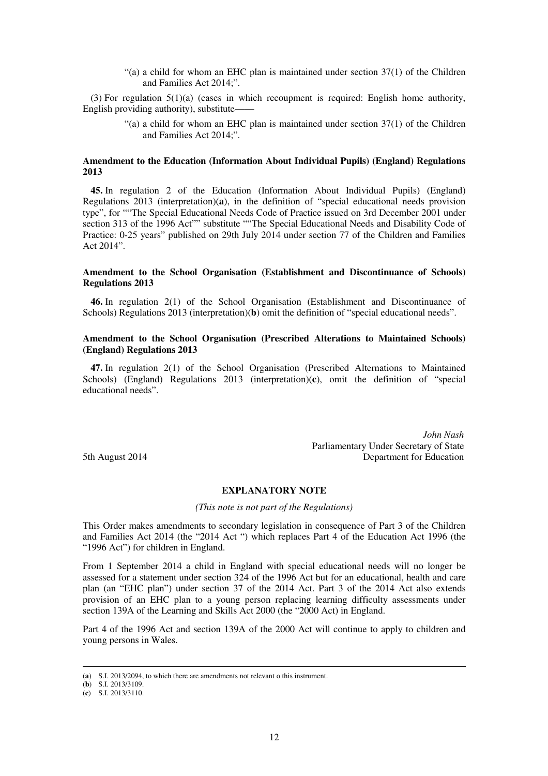"(a) a child for whom an EHC plan is maintained under section 37(1) of the Children and Families Act 2014;".

(3) For regulation  $5(1)(a)$  (cases in which recoupment is required: English home authority, English providing authority), substitute——

> "(a) a child for whom an EHC plan is maintained under section  $37(1)$  of the Children and Families Act 2014;".

# **Amendment to the Education (Information About Individual Pupils) (England) Regulations 2013**

**45.** In regulation 2 of the Education (Information About Individual Pupils) (England) Regulations 2013 (interpretation)(**a**), in the definition of "special educational needs provision type", for ""The Special Educational Needs Code of Practice issued on 3rd December 2001 under section 313 of the 1996 Act"" substitute ""The Special Educational Needs and Disability Code of Practice: 0-25 years" published on 29th July 2014 under section 77 of the Children and Families Act 2014".

# **Amendment to the School Organisation (Establishment and Discontinuance of Schools) Regulations 2013**

**46.** In regulation 2(1) of the School Organisation (Establishment and Discontinuance of Schools) Regulations 2013 (interpretation)(**b**) omit the definition of "special educational needs".

## **Amendment to the School Organisation (Prescribed Alterations to Maintained Schools) (England) Regulations 2013**

**47.** In regulation 2(1) of the School Organisation (Prescribed Alternations to Maintained Schools) (England) Regulations 2013 (interpretation)(**c**), omit the definition of "special educational needs".

*John Nash*  Parliamentary Under Secretary of State 5th August 2014 Department for Education

# **EXPLANATORY NOTE**

*(This note is not part of the Regulations)* 

This Order makes amendments to secondary legislation in consequence of Part 3 of the Children and Families Act 2014 (the "2014 Act ") which replaces Part 4 of the Education Act 1996 (the "1996 Act") for children in England.

From 1 September 2014 a child in England with special educational needs will no longer be assessed for a statement under section 324 of the 1996 Act but for an educational, health and care plan (an "EHC plan") under section 37 of the 2014 Act. Part 3 of the 2014 Act also extends provision of an EHC plan to a young person replacing learning difficulty assessments under section 139A of the Learning and Skills Act 2000 (the "2000 Act) in England.

Part 4 of the 1996 Act and section 139A of the 2000 Act will continue to apply to children and young persons in Wales.

<sup>(</sup>**a**) S.I. 2013/2094, to which there are amendments not relevant o this instrument.

<sup>(</sup>**b**) S.I. 2013/3109.

<sup>(</sup>**c**) S.I. 2013/3110.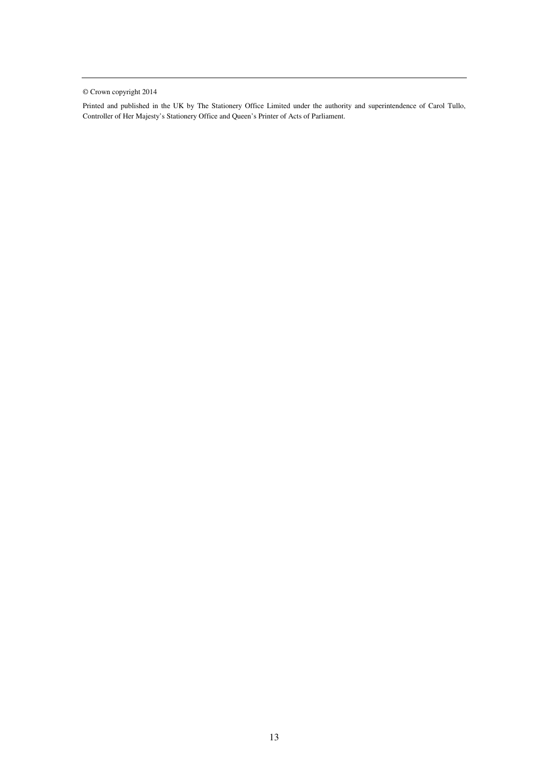© Crown copyright 2014

Printed and published in the UK by The Stationery Office Limited under the authority and superintendence of Carol Tullo, Controller of Her Majesty's Stationery Office and Queen's Printer of Acts of Parliament.